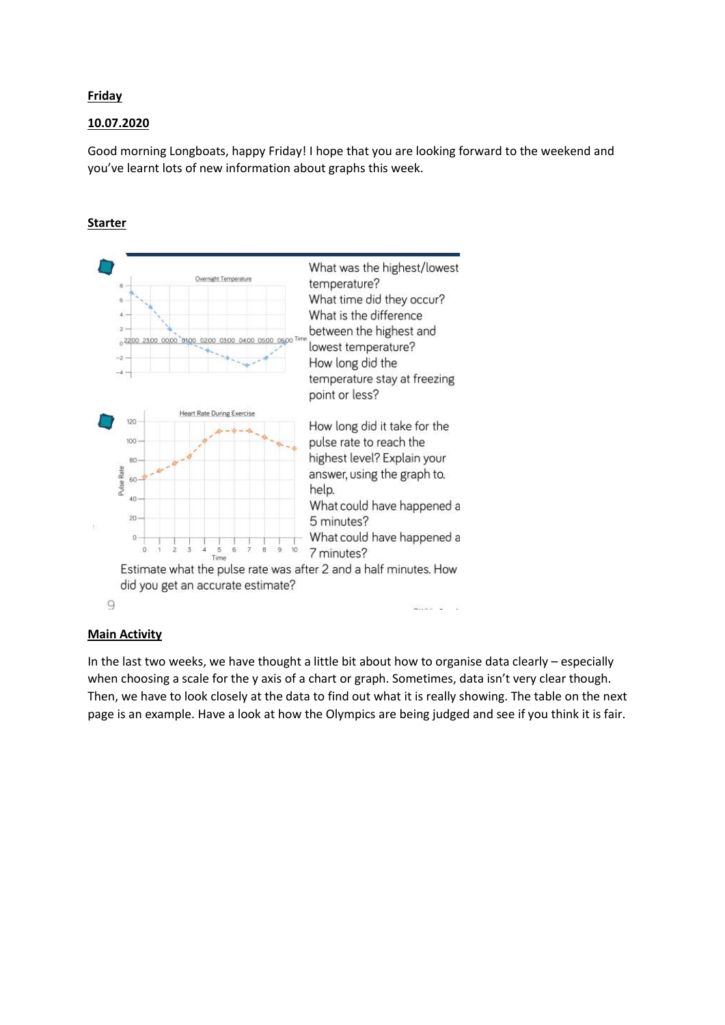# **Friday**

# 10.07.2020

Good morning Longboats, happy Friday! I hope that you are looking forward to the weekend and you've learnt lots of new information about graphs this week.

# Starter



#### Main Activity

In the last two weeks, we have thought a little bit about how to organise data clearly – especially when choosing a scale for the y axis of a chart or graph. Sometimes, data isn't very clear though. Then, we have to look closely at the data to find out what it is really showing. The table on the next page is an example. Have a look at how the Olympics are being judged and see if you think it is fair.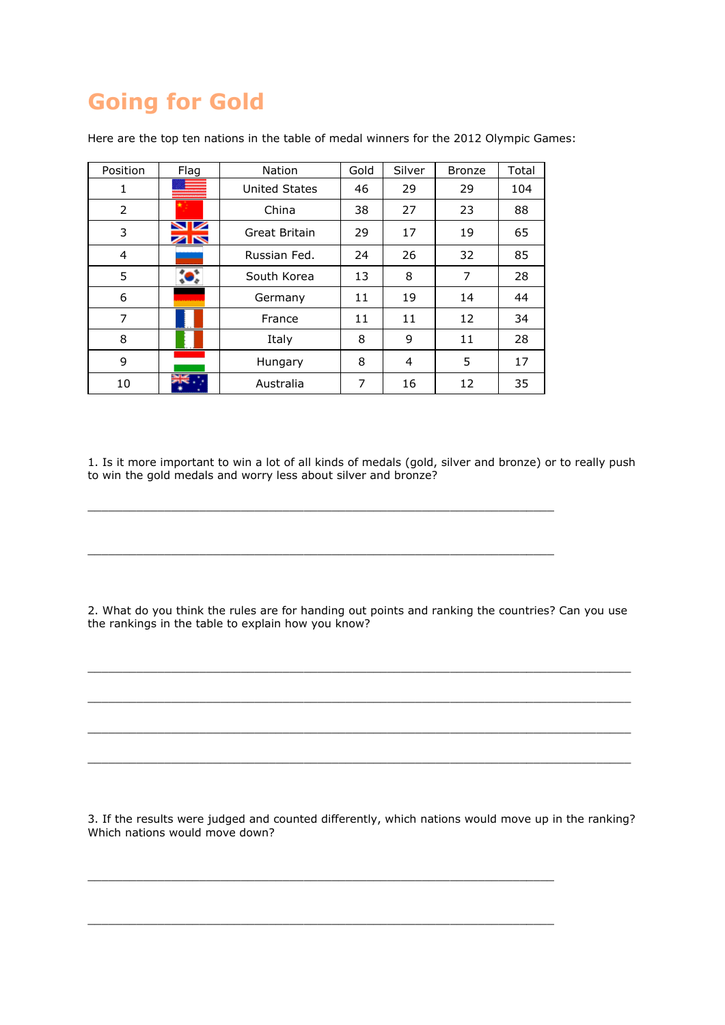# Going for Gold

| Position | Flag | <b>Nation</b>        | Gold | Silver | <b>Bronze</b> | Total |
|----------|------|----------------------|------|--------|---------------|-------|
| 1        |      | <b>United States</b> | 46   | 29     | 29            | 104   |
| 2        |      | China                | 38   | 27     | 23            | 88    |
| 3        | ∕IN  | Great Britain        | 29   | 17     | 19            | 65    |
| 4        |      | Russian Fed.         | 24   | 26     | 32            | 85    |
| 5        |      | South Korea          | 13   | 8      | 7             | 28    |
| 6        |      | Germany              | 11   | 19     | 14            | 44    |
| 7        |      | France               | 11   | 11     | 12            | 34    |
| 8        |      | Italy                | 8    | 9      | 11            | 28    |
| 9        |      | Hungary              | 8    | 4      | 5             | 17    |
| 10       |      | Australia            | 7    | 16     | 12            | 35    |

Here are the top ten nations in the table of medal winners for the 2012 Olympic Games:

1. Is it more important to win a lot of all kinds of medals (gold, silver and bronze) or to really push to win the gold medals and worry less about silver and bronze?

 $\_$  . The contribution of the contribution of  $\mathcal{L}_1$  ,  $\mathcal{L}_2$  ,  $\mathcal{L}_3$  ,  $\mathcal{L}_4$  ,  $\mathcal{L}_5$  ,  $\mathcal{L}_6$  ,  $\mathcal{L}_7$  ,  $\mathcal{L}_8$  ,  $\mathcal{L}_9$  ,  $\mathcal{L}_9$  ,  $\mathcal{L}_1$  ,  $\mathcal{L}_2$  ,  $\mathcal{L}_3$  ,  $\mathcal{L}_5$  ,  $\mathcal{L}_$ 

 $\_$  . The contribution of the contribution of  $\mathcal{L}_1$  ,  $\mathcal{L}_2$  ,  $\mathcal{L}_3$  ,  $\mathcal{L}_4$  ,  $\mathcal{L}_5$  ,  $\mathcal{L}_6$  ,  $\mathcal{L}_7$  ,  $\mathcal{L}_8$  ,  $\mathcal{L}_9$  ,  $\mathcal{L}_9$  ,  $\mathcal{L}_1$  ,  $\mathcal{L}_2$  ,  $\mathcal{L}_3$  ,  $\mathcal{L}_5$  ,  $\mathcal{L}_$ 

2. What do you think the rules are for handing out points and ranking the countries? Can you use the rankings in the table to explain how you know?

\_\_\_\_\_\_\_\_\_\_\_\_\_\_\_\_\_\_\_\_\_\_\_\_\_\_\_\_\_\_\_\_\_\_\_\_\_\_\_\_\_\_\_\_\_\_\_\_\_\_\_\_\_\_\_\_\_\_\_\_\_\_\_\_\_\_\_\_\_\_\_\_\_\_\_\_\_\_

\_\_\_\_\_\_\_\_\_\_\_\_\_\_\_\_\_\_\_\_\_\_\_\_\_\_\_\_\_\_\_\_\_\_\_\_\_\_\_\_\_\_\_\_\_\_\_\_\_\_\_\_\_\_\_\_\_\_\_\_\_\_\_\_\_\_\_\_\_\_\_\_\_\_\_\_\_\_

\_\_\_\_\_\_\_\_\_\_\_\_\_\_\_\_\_\_\_\_\_\_\_\_\_\_\_\_\_\_\_\_\_\_\_\_\_\_\_\_\_\_\_\_\_\_\_\_\_\_\_\_\_\_\_\_\_\_\_\_\_\_\_\_\_\_\_\_\_\_\_\_\_\_\_\_\_\_

\_\_\_\_\_\_\_\_\_\_\_\_\_\_\_\_\_\_\_\_\_\_\_\_\_\_\_\_\_\_\_\_\_\_\_\_\_\_\_\_\_\_\_\_\_\_\_\_\_\_\_\_\_\_\_\_\_\_\_\_\_\_\_\_\_\_\_\_\_\_\_\_\_\_\_\_\_\_

3. If the results were judged and counted differently, which nations would move up in the ranking? Which nations would move down?

\_\_\_\_\_\_\_\_\_\_\_\_\_\_\_\_\_\_\_\_\_\_\_\_\_\_\_\_\_\_\_\_\_\_\_\_\_\_\_\_\_\_\_\_\_\_\_\_\_\_\_\_\_\_\_\_\_\_\_\_\_\_\_\_\_\_\_

 $\_$  . The contribution of the contribution of  $\mathcal{L}_1$  ,  $\mathcal{L}_2$  ,  $\mathcal{L}_3$  ,  $\mathcal{L}_4$  ,  $\mathcal{L}_5$  ,  $\mathcal{L}_6$  ,  $\mathcal{L}_7$  ,  $\mathcal{L}_8$  ,  $\mathcal{L}_9$  ,  $\mathcal{L}_9$  ,  $\mathcal{L}_1$  ,  $\mathcal{L}_2$  ,  $\mathcal{L}_3$  ,  $\mathcal{L}_5$  ,  $\mathcal{L}_$